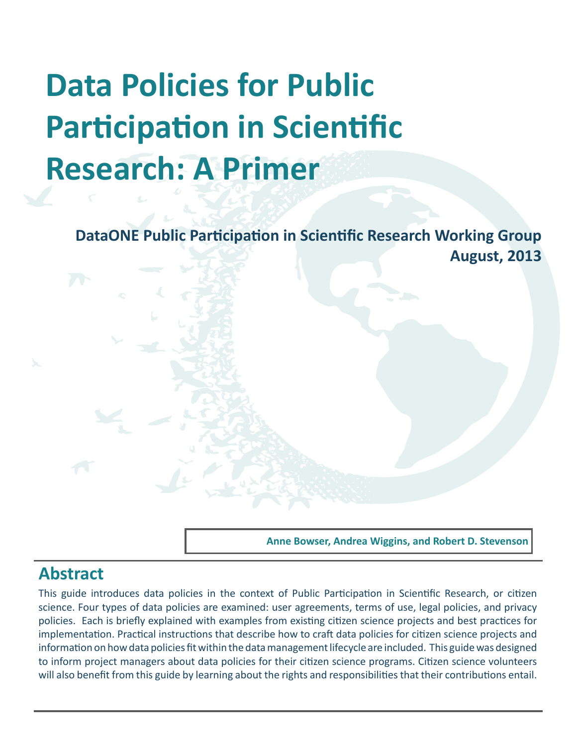# **Data Policies for Public Participation in Scientific Research: A Primer**

**DataONE Public Participation in Scientific Research Working Group August, 2013**

**Anne Bowser, Andrea Wiggins, and Robert D. Stevenson**

# **Abstract**

This guide introduces data policies in the context of Public Participation in Scientific Research, or citizen science. Four types of data policies are examined: user agreements, terms of use, legal policies, and privacy policies. Each is briefly explained with examples from existing citizen science projects and best practices for implementation. Practical instructions that describe how to craft data policies for citizen science projects and information on how data policies fit within the data management lifecycle are included. This guide was designed to inform project managers about data policies for their citizen science programs. Citizen science volunteers will also benefit from this guide by learning about the rights and responsibilities that their contributions entail.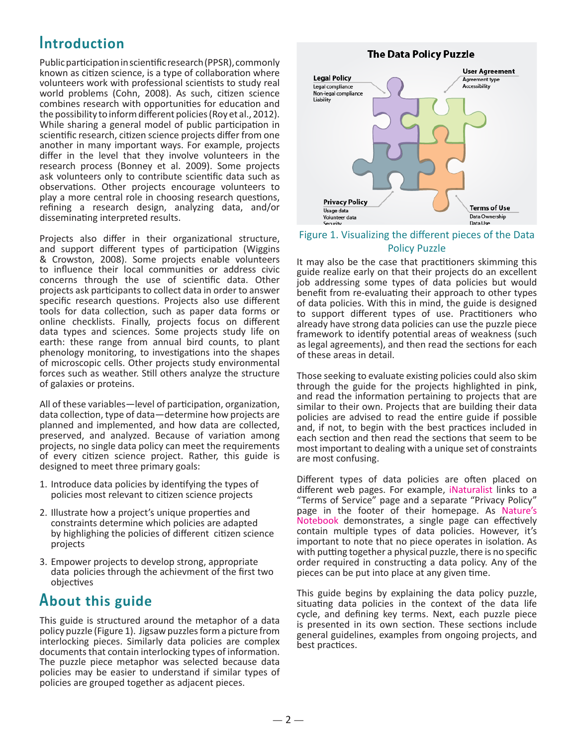# **Introduction**

Public participation in scientific research (PPSR), commonly known as citizen science, is a type of collaboration where volunteers work with professional scientists to study real world problems (Cohn, 2008). As such, citizen science combines research with opportunities for education and the possibility to inform different policies (Roy et al., 2012). While sharing a general model of public participation in scientific research, citizen science projects differ from one another in many important ways. For example, projects differ in the level that they involve volunteers in the research process (Bonney et al. 2009). Some projects ask volunteers only to contribute scientific data such as observations. Other projects encourage volunteers to play a more central role in choosing research questions, refining a research design, analyzing data, and/or disseminating interpreted results.

Projects also differ in their organizational structure, and support different types of participation (Wiggins & Crowston, 2008). Some projects enable volunteers to influence their local communities or address civic concerns through the use of scientific data. Other projects ask participants to collect data in order to answer specific research questions. Projects also use different tools for data collection, such as paper data forms or online checklists. Finally, projects focus on different data types and sciences. Some projects study life on earth: these range from annual bird counts, to plant phenology monitoring, to investigations into the shapes of microscopic cells. Other projects study environmental forces such as weather. Still others analyze the structure of galaxies or proteins.

All of these variables—level of participation, organization, data collection, type of data—determine how projects are planned and implemented, and how data are collected, preserved, and analyzed. Because of variation among projects, no single data policy can meet the requirements of every citizen science project. Rather, this guide is designed to meet three primary goals:

- 1. Introduce data policies by identifying the types of policies most relevant to citizen science projects
- 2. Illustrate how a project's unique properties and constraints determine which policies are adapted by highlighing the policies of different citizen science projects
- 3. Empower projects to develop strong, appropriate data policies through the achievment of the first two objectives

# **About this guide**

This guide is structured around the metaphor of a data policy puzzle (Figure 1). Jigsaw puzzles form a picture from interlocking pieces. Similarly data policies are complex documents that contain interlocking types of information. The puzzle piece metaphor was selected because data policies may be easier to understand if similar types of policies are grouped together as adjacent pieces.

### **The Data Policy Puzzle**



# Figure 1. Visualizing the different pieces of the Data

### Policy Puzzle

It may also be the case that practitioners skimming this guide realize early on that their projects do an excellent job addressing some types of data policies but would benefit from re-evaluating their approach to other types of data policies. With this in mind, the guide is designed to support different types of use. Practitioners who already have strong data policies can use the puzzle piece framework to identify potential areas of weakness (such as legal agreements), and then read the sections for each of these areas in detail.

Those seeking to evaluate existing policies could also skim through the guide for the projects highlighted in pink, and read the information pertaining to projects that are similar to their own. Projects that are building their data policies are advised to read the entire guide if possible and, if not, to begin with the best practices included in each section and then read the sections that seem to be most important to dealing with a unique set of constraints are most confusing.

Different types of data policies are often placed on different web pages. For example, [iNaturalist](http://www.inaturalist.org) links to a "Terms of Service" page and a separate "Privacy Policy" page in the footer of their homepage. As [Nature's](https://www.usanpn.org/terms)  [Notebook](https://www.usanpn.org/terms) demonstrates, a single page can effectively contain multiple types of data policies. However, it's important to note that no piece operates in isolation. As with putting together a physical puzzle, there is no specific order required in constructing a data policy. Any of the pieces can be put into place at any given time.

This guide begins by explaining the data policy puzzle, situating data policies in the context of the data life cycle, and defining key terms. Next, each puzzle piece is presented in its own section. These sections include general guidelines, examples from ongoing projects, and best practices.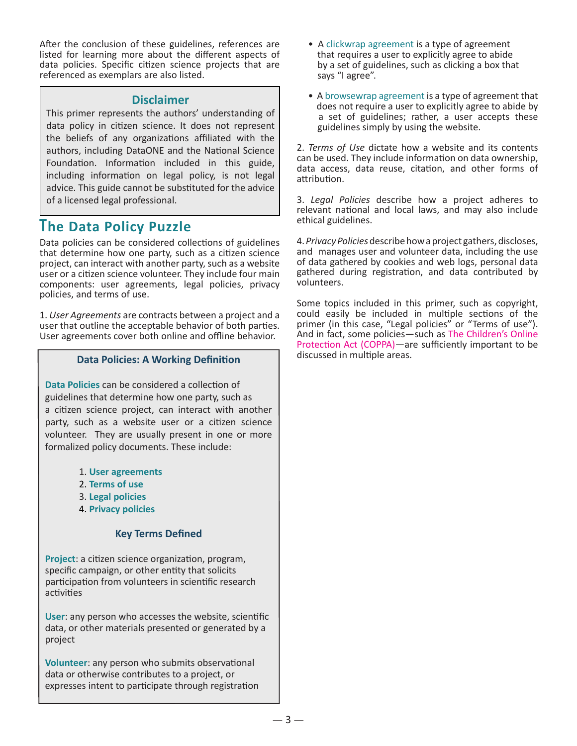After the conclusion of these guidelines, references are listed for learning more about the different aspects of data policies. Specific citizen science projects that are referenced as exemplars are also listed.

### **Disclaimer**

This primer represents the authors' understanding of data policy in citizen science. It does not represent the beliefs of any organizations affiliated with the authors, including DataONE and the National Science Foundation. Information included in this guide, including information on legal policy, is not legal advice. This guide cannot be substituted for the advice of a licensed legal professional.

# **The Data Policy Puzzle**

Data policies can be considered collections of guidelines that determine how one party, such as a citizen science project, can interact with another party, such as a website user or a citizen science volunteer. They include four main components: user agreements, legal policies, privacy policies, and terms of use.

1. *User Agreements* are contracts between a project and a user that outline the acceptable behavior of both parties. User agreements cover both online and offline behavior.

### **Data Policies: A Working Definition**

**[Data](http://www.dataone.org/sites/all/documents/L03_DataManagementPlanning.pptx) Policies** can be considered a collection of guidelines that determine how one party, such as a citizen science project, can interact with another party, such as a website user or a citizen science volunteer. They are usually present in one or more formalized policy documents. These include:

- 1. **User agreements**
- 2. **Terms of use**
- 3. **Legal policies**
- 4. **Privacy policies**

### **Key Terms Defined**

**Project**: a citizen science organization, program, specific campaign, or other entity that solicits participation from volunteers in scientific research activities

**User**: any person who accesses the website, scientific data, or other materials presented or generated by a project

**Volunteer**: any person who submits observational data or otherwise contributes to a project, or expresses intent to participate through registration

- A clickwrap agreement is a type of agreement that requires a user to explicitly agree to abide by a set of guidelines, such as clicking a box that says "I agree".
- A browsewrap agreement is a type of agreement that does not require a user to explicitly agree to abide by a set of guidelines; rather, a user accepts these guidelines simply by using the website.

2. *Terms of Use* dictate how a website and its contents can be used. They include information on data ownership, data access, data reuse, citation, and other forms of attribution.

3. *Legal Policies* describe how a project adheres to relevant national and local laws, and may also include ethical guidelines.

4. *Privacy Policies* describe how a project gathers, discloses, and manages user and volunteer data, including the use of data gathered by cookies and web logs, personal data gathered during registration, and data contributed by volunteers.

Some topics included in this primer, such as copyright, could easily be included in multiple sections of the primer (in this case, "Legal policies" or "Terms of use"). And in fact, some policies—such as [The Children's Online](http://www.coppa.org/) [Protection Act \(COPPA\)—](http://www.coppa.org/)are sufficiently important to be discussed in multiple areas.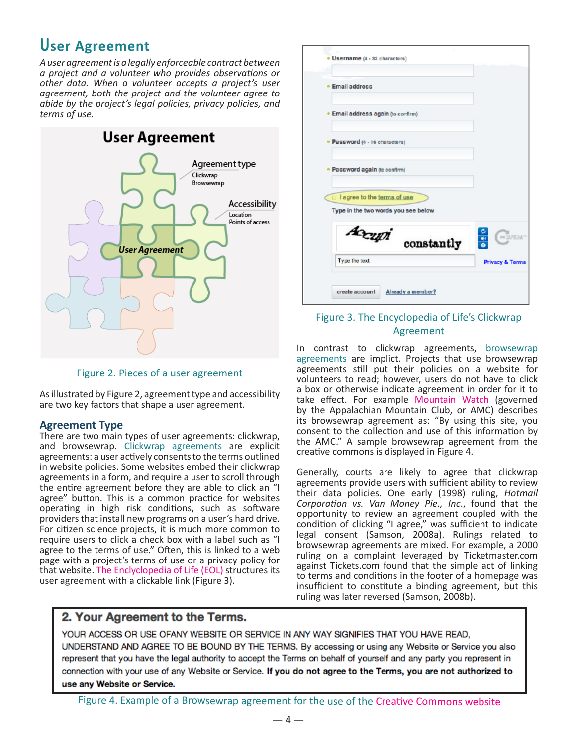# **User Agreement**

*A user agreement is a legally enforceable contract between a project and a volunteer who provides observations or other data. When a volunteer accepts a project's user agreement, both the project and the volunteer agree to abide by the project's legal policies, privacy policies, and terms of use.*



Figure 2. Pieces of a user agreement

As illustrated by Figure 2, agreement type and accessibility are two key factors that shape a user agreement.

### **Agreement Type**

There are two main types of user agreements: clickwrap, and browsewrap. Clickwrap agreements are explicit agreements: a user actively consents to the terms outlined in website policies. Some websites embed their clickwrap agreements in a form, and require a user to scroll through the entire agreement before they are able to click an "I agree" button. This is a common practice for websites operating in high risk conditions, such as software providers that install new programs on a user's hard drive. For citizen science projects, it is much more common to require users to click a check box with a label such as "I agree to the terms of use." Often, this is linked to a web page with a project's terms of use or a privacy policy for that website. [The Enclyclopedia of Life \(EOL\)](http://eol.org/users/register) structures its user agreement with a clickable link (Figure 3).



### Figure 3. The Encyclopedia of Life's Clickwrap Agreement

In contrast to clickwrap agreements, browsewrap agreements are implict. Projects that use browsewrap agreements still put their policies on a website for volunteers to read; however, users do not have to click a box or otherwise indicate agreement in order for it to take effect. For example [Mountain Watch](http://www.outdoors.org/about/privacy-policy.cfm) (governed by the Appalachian Mountain Club, or AMC) describes its browsewrap agreement as: "By using this site, you consent to the collection and use of this information by the AMC." A sample browsewrap agreement from the creative commons is displayed in Figure 4.

Generally, courts are likely to agree that clickwrap agreements provide users with sufficient ability to review their data policies. One early (1998) ruling, *Hotmail Corporation vs. Van Money Pie., Inc*., found that the opportunity to review an agreement coupled with the condition of clicking "I agree," was sufficient to indicate legal consent (Samson, 2008a). Rulings related to browsewrap agreements are mixed. For example, a 2000 ruling on a complaint leveraged by [Ticketmaster.co](Ticketmaster.corp)m against <Tickets.com> found that the simple act of linking to terms and conditions in the footer of a homepage was insufficient to constitute a binding agreement, but this ruling was later reversed (Samson, 2008b).

### 2. Your Agreement to the Terms.

YOUR ACCESS OR USE OFANY WEBSITE OR SERVICE IN ANY WAY SIGNIFIES THAT YOU HAVE READ. UNDERSTAND AND AGREE TO BE BOUND BY THE TERMS. By accessing or using any Website or Service you also represent that you have the legal authority to accept the Terms on behalf of yourself and any party you represent in connection with your use of any Website or Service. If you do not agree to the Terms, you are not authorized to use any Website or Service.

Figure 4. Example of a Browsewrap agreement for the use of the [Creative Commons website](http://creativecommons.org/terms)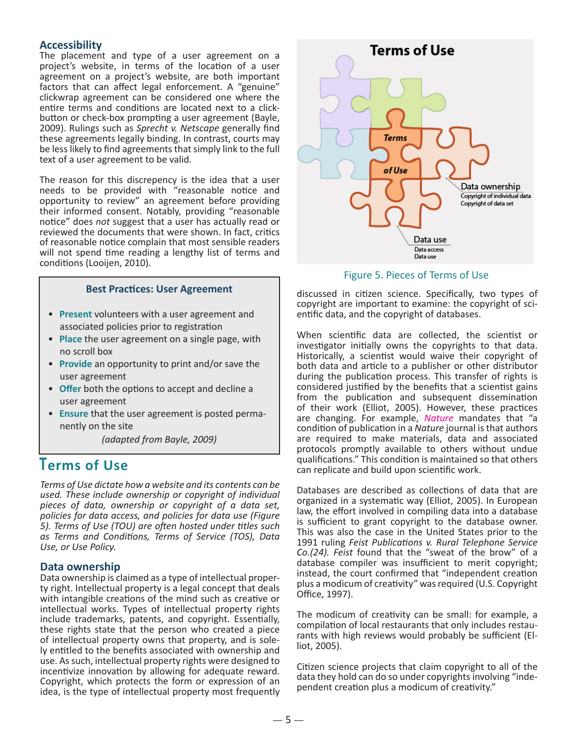### **Accessibility**

The placement and type of a user agreement on a project's website, in terms of the location of a user agreement on a project's website, are both important factors that can affect legal enforcement. A "genuine" clickwrap agreement can be considered one where the entire terms and conditions are located next to a clickbutton or check-box prompting a user agreement (Bayle, 2009). Rulings such as *Sprecht v. Netscape* generally find these agreements legally binding. In contrast, courts may be less likely to find agreements that simply link to the full text of a user agreement to be valid.

The reason for this discrepency is the idea that a user needs to be provided with "reasonable notice and opportunity to review" an agreement before providing their informed consent. Notably, providing "reasonable notice" does *not* suggest that a user has actually read or reviewed the documents that were shown. In fact, critics of reasonable notice complain that most sensible readers will not spend time reading a lengthy list of terms and conditions (Looijen, 2010).

### **Best Practices: User Agreement**

- **Present** volunteers with a user agreement and associated policies prior to registration
- **Place** the user agreement on a single page, with no scroll box
- **Provide** an opportunity to print and/or save the user agreement
- **Offer** both the options to accept and decline a user agreement
- **Ensure** that the user agreement is posted perma nently on the site

*(adapted from Bayle, 2009)* 

## **Terms of Use**

*Terms of Use dictate how a website and its contents can be used. These include ownership or copyright of individual pieces of data, ownership or copyright of a data set, policies for data access, and policies for data use (Figure 5). Terms of Use (TOU) are often hosted under titles such as Terms and Conditions, Terms of Service (TOS), Data Use, or Use Policy.* 

**Data ownership**<br>Data ownership is claimed as a type of intellectual property right. Intellectual property is a legal concept that deals with intangible creations of the mind such as creative or intellectual works. Types of intellectual property rights include trademarks, patents, and copyright. Essentially, these rights state that the person who created a piece of intellectual property owns that property, and is solely entitled to the benefits associated with ownership and use. As such, intellectual property rights were designed to incentivize innovation by allowing for adequate reward. Copyright, which protects the form or expression of an idea, is the type of intellectual property most frequently



Figure 5. Pieces of Terms of Use

discussed in citizen science. Specifically, two types of copyright are important to examine: the copyright of sci- entific data, and the copyright of databases.

When scientific data are collected, the scientist or investigator initially owns the copyrights to that data. Historically, a scientist would waive their copyright of both data and article to a publisher or other distributor during the publication process. This transfer of rights is considered justified by the benefits that a scientist gains from the publication and subsequent dissemination of their work (Elliot, 2005). However, these practices are changing. For example, *[Nature](http://www.nature.com/authors/policies/availability.html)* mandates that "a condition of publication in a *Nature* journal is that authors are required to make materials, data and associated protocols promptly available to others without undue qualifications." This condition is maintained so that others can replicate and build upon scientific work.

Databases are described as collections of data that are organized in a systematic way (Elliot, 2005). In European law, the effort involved in compiling data into a database is sufficient to grant copyright to the database owner. This was also the case in the United States prior to the 1991 ruling *Feist Publications v. Rural Telephone Service Co.(24). Feist* found that the "sweat of the brow" of a database compiler was insufficient to merit copyright; instead, the court confirmed that "independent creation plus a modicum of creativity" was required (U.S. Copyright Office, 1997).

The modicum of creativity can be small: for example, a compilation of local restaurants that only includes restaurants with high reviews would probably be sufficient (Elliot, 2005).

Citizen science projects that claim copyright to all of the data they hold can do so under copyrights involving "independent creation plus a modicum of creativity."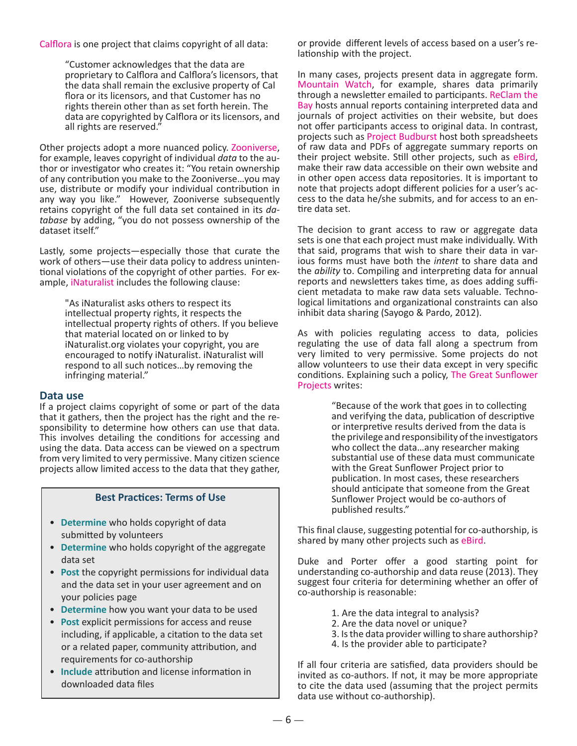[Calflora](http://www.calflora.org/tos.html) is one project that claims copyright of all data:

"Customer acknowledges that the data are proprietary to Calflora and Calflora's licensors, that the data shall remain the exclusive property of Cal flora or its licensors, and that Customer has no rights therein other than as set forth herein. The data are copyrighted by Calflora or its licensors, and all rights are reserved."

Other projects adopt a more nuanced policy. [Zooniverse](https://www.zooniverse.org/privacy?lang=en), for example, leaves copyright of individual *data* to the author or investigator who creates it: "You retain ownership of any contribution you make to the Zooniverse…you may use, distribute or modify your individual contribution in any way you like." However, Zooniverse subsequently retains copyright of the full data set contained in its *database* by adding, "you do not possess ownership of the dataset itself."

Lastly, some projects—especially those that curate the work of others—use their data policy to address unintentional violations of the copyright of other parties. For example, [iNaturalist](http://inaturalist.org/terms.html) includes the following clause:

> "As iNaturalist asks others to respect its intellectual property rights, it respects the intellectual property rights of others. If you believe that material located on or linked to by <iNaturalist.org> violates your copyright, you are encouraged to notify iNaturalist. iNaturalist will respond to all such notices…by removing the infringing material."

### **Data use**

If a project claims copyright of some or part of the data that it gathers, then the project has the right and the re- sponsibility to determine how others can use that data. This involves detailing the conditions for accessing and using the data. Data access can be viewed on a spectrum from very limited to very permissive. Many citizen science projects allow limited access to the data that they gather,

### **Best Practices: Terms of Use**

- **Determine** who holds copyright of data submitted by volunteers
- **Determine** who holds copyright of the aggregate data set
- **Post** the copyright permissions for individual data and the data set in your user agreement and on your policies page
- **Determine** how you want your data to be used
- **Post** explicit permissions for access and reuse including, if applicable, a citation to the data set or a related paper, community attribution, and requirements for co-authorship
- **Include** attribution and license information in downloaded data files

or provide different levels of access based on a user's relationship with the project.

In many cases, projects present data in aggregate form. [Mountain Watch](http://www.outdoors.org/conservation/mountainwatch/index.cfm), for example, shares data primarily through a newsletter emailed to participants. [ReClam the](http://www.reclamthebay.org/) [Bay](http://www.reclamthebay.org/) hosts annual reports containing interpreted data and journals of project activities on their website, but does not offer participants access to original data. In contrast, projects such as [Project Budburst](http://www.budburst.org/) host both spreadsheets of raw data and PDFs of aggregate summary reports on their project website. Still other projects, such as eBird. make their raw data accessible on their own websi[te and](http://ebird.org/maintenance/) in other open access data repositories. It is important to note that projects adopt different policies for a user's ac- cess to the data he/she submits, and for access to an en- tire data set.

The decision to grant access to raw or aggregate data sets is one that each project must make individually. With that said, programs that wish to share their data in var- ious forms must have both the *intent* to share data and the *ability* to. Compiling and interpreting data for annual reports and newsletters takes time, as does adding sufficient metadata to make raw data sets valuable. Techno-logical limitations and organizational constraints can also inhibit data sharing (Sayogo & Pardo, 2012).

As with policies regulating access to data, policies regulating the use of data fall along a spectrum from very limited to very permissive. Some projects do not allow volunteers to use their data except in very specific conditions. Explaining such a policy, [The Great Sunflower](http://www.greatsunflower.org/DataUse) [Projects](http://www.greatsunflower.org/DataUse) writes:

> "Because of the work that goes in to collecting and verifying the data, publication of descriptive or interpretive results derived from the data is the privilege and responsibility of the investigators who collect the data…any researcher making substantial use of these data must communicate with the Great Sunflower Project prior to publication. In most cases, these researchers should anticipate that someone from the Great Sunflower Project would be co-authors of published results."

This final clause, suggesting potential for co-authorship, is shared by many other projects such as [eBird](http://www.avianknowledge.net/content/download).

Duke and Porter offer a good starting point for understanding co-authorship and data reuse (2013). They suggest four criteria for determining whether an offer of co-authorship is reasonable:

- 1. Are the data integral to analysis?
- 2. Are the data novel or unique?
- 3. Is the data provider willing to share authorship?
- 4. Is the provider able to participate?

If all four criteria are satisfied, data providers should be invited as co-authors. If not, it may be more appropriate to cite the data used (assuming that the project permits data use without co-authorship).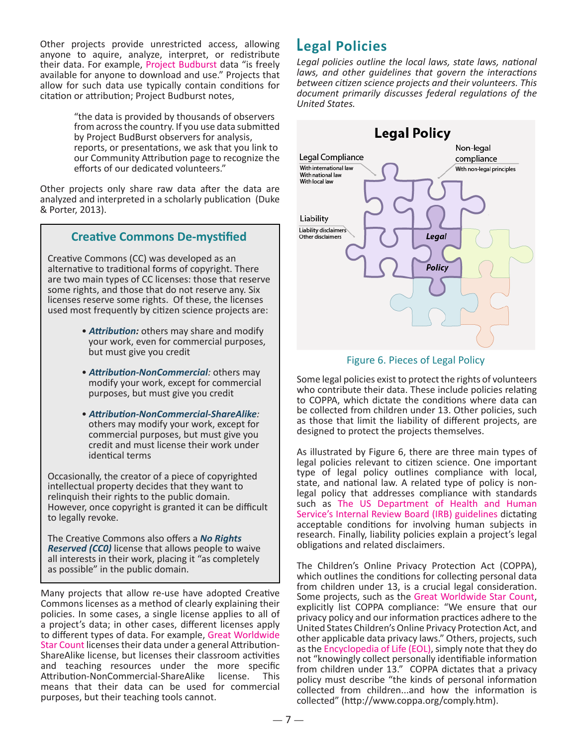Other projects provide unrestricted access, allowing **Legal Policies** anyone to aquire, analyze, interpret, or redistribute their data. For example, [Project Budburst](http://budburst.org/aboutus.php) data "is freely available for anyone to download and use." Projects that allow for such data use typically contain conditions for citation or attribution; Project Budburst notes,

"the data is provided by thousands of observers from across the country. If you use data submitted by Project BudBurst observers for analysis, reports, or presentations, we ask that you link to our Community Attribution page to recognize the efforts of our dedicated volunteers."

Other projects only share raw data after the data are analyzed and interpreted in a scholarly publication (Duke & Porter, 2013).

### **Creative Commons De-mystified**

Creative Commons (CC) was developed as an alternative to traditional forms of copyright. There are two main types of CC licenses: those that reserve some rights, and those that do not reserve any. Six licenses reserve some rights. Of these, the licenses used most frequently by citizen science projects are:

- *Attribution:* others may share and modify your work, even for commercial purposes, but must give you credit
- *Attribution-NonCommercial:* others may modify your work, except for commercial purposes, but must give you credit
- *Attribution-NonCommercial-ShareAlike:* others may modify your work, except for commercial purposes, but must give you credit and must license their work under identical terms

Occasionally, the creator of a piece of copyrighted intellectual property decides that they want to relinquish their rights to the public domain. However, once copyright is granted it can be difficult to legally revoke.

The Creative Commons also offers a *No Rights Reserved (CC0)* license that allows people to waive all interests in their work, placing it "as completely as possible" in the public domain.

Many projects that allow re-use have adopted Creative Commons licenses as a method of clearly explaining their policies. In some cases, a single license applies to all of a project's data; in other cases, different licenses apply to different types of data. For example, [Great Worldwide](http://www.windows2universe.org/citizen_science/starcount/)  [Star Count](http://www.windows2universe.org/citizen_science/starcount/) licenses their data under a general Attribution-ShareAlike license, but licenses their classroom activities and teaching resources under the more specific Attribution-NonCommercial-ShareAlike license. This means that their data can be used for commercial purposes, but their teaching tools cannot.

*Legal policies outline the local laws, state laws, national laws, and other guidelines that govern the interactions between citizen science projects and their volunteers. This document primarily discusses federal regulations of the United States.*



### Figure 6. Pieces of Legal Policy

Some legal policies exist to protect the rights of volunteers who contribute their data. These include policies relating to COPPA, which dictate the conditions where data can be collected from children under 13. Other policies, such as those that limit the liability of different projects, are designed to protect the projects themselves.

As illustrated by Figure 6, there are three main types of legal policies relevant to citizen science. One important type of legal policy outlines compliance with local, state, and national law. A related type of policy is nonlegal policy that addresses compliance with standards such as [The US Department of Health and Human](%20http://www.hhs.gov/ohrp/archive/irb/irb)  [Service's Internal Review Board \(IRB\) guidelines](%20http://www.hhs.gov/ohrp/archive/irb/irb) dictating acceptable conditions for involving human subjects in research. Finally, liability policies explain a project's legal obligations and related disclaimers.

The Children's Online Privacy Protection Act (COPPA), which outlines the conditions for collecting personal data from children under 13, is a crucial legal consideration. Some projects, such as the [Great Worldwide Star Count](http://www.windows2universe.org/privacy_policy.html), explicitly list COPPA compliance: "We ensure that our privacy policy and our information practices adhere to the United States Children's Online Privacy Protection Act, and other applicable data privacy laws." Others, projects, such as the [Encyclopedia of Life \(EOL\)](http://eol.org/info/226), simply note that they do not "knowingly collect personally identifiable information from children under 13." COPPA dictates that a privacy policy must describe "the kinds of personal information collected from children...and how the information is collected" (<http://www.coppa.org/comply.htm>).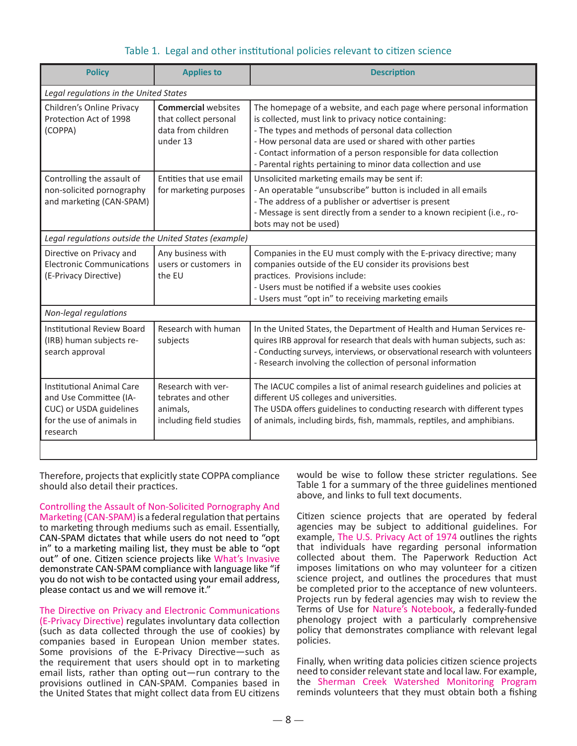| Legal regulations in the United States<br><b>Commercial websites</b><br>that collect personal<br>data from children<br>under 13 | The homepage of a website, and each page where personal information<br>is collected, must link to privacy notice containing:<br>- The types and methods of personal data collection<br>- How personal data are used or shared with other parties                                                 |
|---------------------------------------------------------------------------------------------------------------------------------|--------------------------------------------------------------------------------------------------------------------------------------------------------------------------------------------------------------------------------------------------------------------------------------------------|
|                                                                                                                                 |                                                                                                                                                                                                                                                                                                  |
|                                                                                                                                 | - Contact information of a person responsible for data collection<br>- Parental rights pertaining to minor data collection and use                                                                                                                                                               |
| Entities that use email<br>for marketing purposes                                                                               | Unsolicited marketing emails may be sent if:<br>- An operatable "unsubscribe" button is included in all emails<br>- The address of a publisher or advertiser is present<br>- Message is sent directly from a sender to a known recipient (i.e., ro-<br>bots may not be used)                     |
| Legal regulations outside the United States (example)                                                                           |                                                                                                                                                                                                                                                                                                  |
| Any business with<br>users or customers in<br>the EU                                                                            | Companies in the EU must comply with the E-privacy directive; many<br>companies outside of the EU consider its provisions best<br>practices. Provisions include:<br>- Users must be notified if a website uses cookies<br>- Users must "opt in" to receiving marketing emails                    |
| Non-legal regulations                                                                                                           |                                                                                                                                                                                                                                                                                                  |
| Research with human<br>subjects                                                                                                 | In the United States, the Department of Health and Human Services re-<br>quires IRB approval for research that deals with human subjects, such as:<br>- Conducting surveys, interviews, or observational research with volunteers<br>- Research involving the collection of personal information |
| Research with ver-<br>tebrates and other<br>animals,<br>including field studies                                                 | The IACUC compiles a list of animal research guidelines and policies at<br>different US colleges and universities.<br>The USDA offers guidelines to conducting research with different types<br>of animals, including birds, fish, mammals, reptiles, and amphibians.                            |
|                                                                                                                                 |                                                                                                                                                                                                                                                                                                  |

### Table 1. Legal and other institutional policies relevant to citizen science

Therefore, projects that explicitly state COPPA compliance should also detail their practices.

Controlling the Assault of Non-Solicited Pornography And [Marketing \(CAN-SPAM\) i](http://www.business.ftc.gov/documents/bus61-can-spam-act-compliance-guide-business)s a federal regulation that pertains to marketing through mediums such as email. Essentially, CAN-SPAM dictates that while users do not need to "opt in" to a marketing mailing list, they must be able to "opt out" of one. Citizen science projects like [What's Invasive](http://www.whatsinvasive.org/consent.html) demonstrate CAN-SPAM compliance with language like "if you do not wish to be contacted using your email address, please contact us and we will remove it."

[The Directive on Privacy and Electronic Communications](http://eur-lex.europa.eu/LexUriServ/LexUriServ.do%3Furi%3DCELEX:32002L0058:en:NOT)  [\(E-Privacy Directive\)](http://eur-lex.europa.eu/LexUriServ/LexUriServ.do%3Furi%3DCELEX:32002L0058:en:NOT) regulates involuntary data collection (such as data collected through the use of cookies) by companies based in European Union member states. Some provisions of the E-Privacy Directive—such as the requirement that users should opt in to marketing email lists, rather than opting out—run contrary to the provisions outlined in CAN-SPAM. Companies based in the United States that might collect data from EU citizens

would be wise to follow these stricter regulations. See Table 1 for a summary of the three guidelines mentioned above, and links to full text documents.

Citizen science projects that are operated by federal agencies may be subject to additional guidelines. For example, [The U.S. Privacy Act of 1974](http://www.archives.gov/about/laws/privacy-act-1974.html) outlines the rights that individuals have regarding personal information collected about them. The Paperwork Reduction Act imposes limitations on who may volunteer for a citizen science project, and outlines the procedures that must be completed prior to the acceptance of new volunteers. Projects run by federal agencies may wish to review the Terms of Use for [Nature's Notebook,](https://www.usanpn.org/terms) a federally-funded phenology project with a particularly comprehensive policy that demonstrates compliance with relevant legal policies.

Finally, when writing data policies citizen science projects need to consider relevant state and local law. For example, the [Sherman Creek Watershed Monitoring Program](http://www.scistarter.com/project/114-Shermans%2520Creek%2520Watershed%2520Monitoring%2520Program%2520) reminds volunteers that they must obtain both a fishing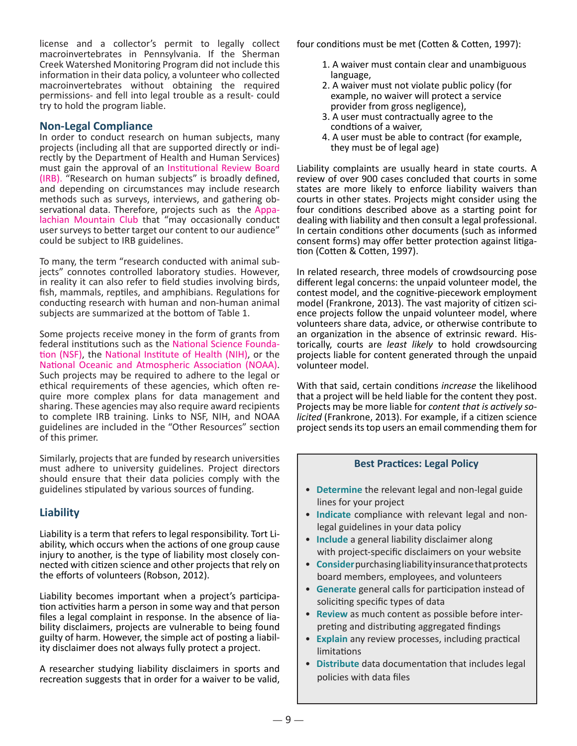license and a collector's permit to legally collect macroinvertebrates in Pennsylvania. If the Sherman Creek Watershed Monitoring Program did not include this information in their data policy, a volunteer who collected macroinvertebrates without obtaining the required permissions- and fell into legal trouble as a result- could try to hold the program liable.

### **Non-Legal Compliance**

In order to conduct research on human subjects, many projects (including all that are supported directly or indirectly by the Department of Health and Human Services) must gain the approval of an [Institutional Review Board](http://www.hhs.gov/ohrp/archive/irb/irb_guidebook.htm)  [\(IRB\).](http://www.hhs.gov/ohrp/archive/irb/irb_guidebook.htm) "Research on human subjects" is broadly defined, and depending on circumstances may include research methods such as surveys, interviews, and gathering observational data. Therefore, projects such as the [Appa](http://www.outdoors.org/about/privacy-policy.cfm)[lachian Mountain Club](http://www.outdoors.org/about/privacy-policy.cfm) that "may occasionally conduct user surveys to better target our content to our audience" could be subject to IRB guidelines.

To many, the term "research conducted with animal sub- jects" connotes controlled laboratory studies. However, in reality it can also refer to field studies involving birds, fish, mammals, reptiles, and amphibians. Regulations for conducting research with human and non-human animal subjects are summarized at the bottom of Table 1.

Some projects receive money in the form of grants from<br>federal institutions such as the National Science Founda[tion \(NSF\)](http://www.nsf.gov), the [National Institute of Health \(NIH\),](http://www.nih.gov) or the National Oceanic and Atmospheric Association (NOAA). Such projects may be required to adhere to the legal or ethical requirements of these agencies, which often require more complex plans for data management and sharing. These agencies may also require award recipients to complete IRB training. Links to NSF, NIH, and NOAA guidelines are included in the "Other Resources" section of this primer.

Similarly, projects that are funded by research universities must adhere to university guidelines. Project directors should ensure that their data policies comply with the guidelines stipulated by various sources of funding.

### **Liability**

Liability is a term that refers to legal responsibility. Tort Liability, which occurs when the actions of one group cause injury to another, is the type of liability most closely connected with citizen science and other projects that rely on the efforts of volunteers (Robson, 2012).

Liability becomes important when a project's participa- tion activities harm a person in some way and that person files a legal complaint in response. In the absence of lia- bility disclaimers, projects are vulnerable to being found guilty of harm. However, the simple act of posting a liability disclaimer does not always fully protect a project.

A researcher studying liability disclaimers in sports and recreation suggests that in order for a waiver to be valid,

four conditions must be met (Cotten & Cotten, 1997):

- 1. A waiver must contain clear and unambiguous language,
- 2. A waiver must not violate public policy (for example, no waiver will protect a service provider from gross negligence),
- 3. A user must contractually agree to the condtions of a waiver,
- 4. A user must be able to contract (for example, they must be of legal age)

Liability complaints are usually heard in state courts. A review of over 900 cases concluded that courts in some states are more likely to enforce liability waivers than courts in other states. Projects might consider using the four conditions described above as a starting point for dealing with liability and then consult a legal professional. In certain conditions other documents (such as informed consent forms) may offer better protection against litigation (Cotten & Cotten, 1997).

In related research, three models of crowdsourcing pose different legal concerns: the unpaid volunteer model, the contest model, and the cognitive-piecework employment model (Frankrone, 2013). The vast majority of citizen science projects follow the unpaid volunteer model, where volunteers share data, advice, or otherwise contribute to an organization in the absence of extrinsic reward. Historically, courts are *least likely* to hold crowdsourcing projects liable for content generated through the unpaid volunteer model.

With that said, certain conditions *increase* the likelihood that a project will be held liable for the content they post. Projects may be more liable for *content that is actively solicited* (Frankrone, 2013). For example, if a citizen science project sends its top users an email commending them for

### **Best Practices: Legal Policy**

- **Determine** the relevant legal and non-legal guide lines for your project
- **Indicate** compliance with relevant legal and non legal guidelines in your data policy
- **Include** a general liability disclaimer along with project-specific disclaimers on your website
- **Consider** purchasing liability insurance that protects board members, employees, and volunteers
- **Generate** general calls for participation instead of soliciting specific types of data
- **Review** as much content as possible before inter preting and distributing aggregated findings
- **Explain** any review processes, including practical limitations
- **Distribute** data documentation that includes legal policies with data files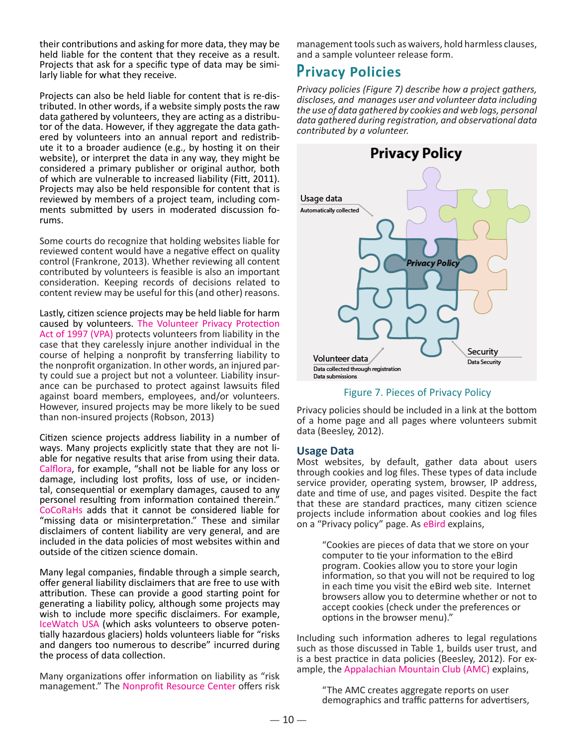their contributions and asking for more data, they may be held liable for the content that they receive as a result. Projects that ask for a specific type of data may be simi- larly liable for what they receive.

Projects can also be held liable for content that is re-distributed. In other words, if a website simply posts the raw data gathered by volunteers, they are acting as a distributor of the data. However, if they aggregate the data gathered by volunteers into an annual report and redistribute it to a broader audience (e.g., by hosting it on their website), or interpret the data in any way, they might be considered a primary publisher or original author, both of which are vulnerable to increased liability (Fitt, 2011). Projects may also be held responsible for content that is reviewed by members of a project team, including comments submitted by users in moderated discussion forums.

Some courts do recognize that holding websites liable for reviewed content would have a negative effect on quality control (Frankrone, 2013). Whether reviewing all content contributed by volunteers is feasible is also an important consideration. Keeping records of decisions related to content review may be useful for this (and other) reasons.

Lastly, citizen science projects may be held liable for harm caused by volunteers. [The Volunteer Privacy Protection](http://www.mke-skywarn.org/vpa.htm)  [Act of 1997 \(VPA\) p](http://www.mke-skywarn.org/vpa.htm)rotects volunteers from liability in the case that they carelessly injure another individual in the course of helping a nonprofit by transferring liability to the nonprofit organization. In other words, an injured party could sue a project but not a volunteer. Liability insurance can be purchased to protect against lawsuits filed against board members, employees, and/or volunteers. However, insured projects may be more likely to be sued than non-insured projects (Robson, 2013)

Citizen science projects address liability in a number of ways. Many projects explicitly state that they are not li- able for negative results that arise from using their data. [Calflora](http://www.calflora.org/tos.html), for example, "shall not be liable for any loss or damage, including lost profits, loss of use, or incidental, consequential or exemplary damages, caused to any personel resulting from information contained therein." [CoCoRaHs](http://www.cocorahs.org/Content.aspx?page=datausagepolicy) adds that it cannot be considered liable for "missing data or misinterpretation." These and similar disclaimers of content liability are very general, and are included in the data policies of most websites within and outside of the citizen science domain.

Many legal companies, findable through a simple search, offer general liability disclaimers that are free to use with attribution. These can provide a good starting point for generating a liability policy, although some projects may wish to include more specific disclaimers. For example, [IceWatch USA](http://www.blairconservationdistrict.org/documents/Nature%20Abounds%20-%20Volunteer%20Application.pdf) (which asks volunteers to observe poten tially hazardous glaciers) holds volunteers liable for "risks and dangers too numerous to describe" incurred during the process of data collection.

Many organizations offer information on liability as "risk management." The [Nonprofit Resource Center](http://www.nprcenter.org/resource/waivers-and-hold-harmless-clauses) offers risk

management tools such as waivers, hold harmless clauses, and a sample volunteer release form.

# **Privacy Policies**

*Privacy policies (Figure 7) describe how a project gathers, discloses, and manages user and volunteer data including the use of data gathered by cookies and web logs, personal data gathered during registration, and observational data contributed by a volunteer.* 



### Figure 7. Pieces of Privacy Policy

Privacy policies should be included in a link at the bottom of a home page and all pages where volunteers submit data (Beesley, 2012).

### **Usage Data**

Most websites, by default, gather data about users through cookies and log files. These types of data include service provider, operating system, browser, IP address, date and time of use, and pages visited. Despite the fact that these are standard practices, many citizen science projects include information about cookies and log files on a "Privacy policy" page. As [eBird](http://ebird.org/content/ebird/about/privacy/) explains,

"Cookies are pieces of data that we store on your computer to tie your information to the eBird program. Cookies allow you to store your login information, so that you will not be required to log in each time you visit the eBird web site. Internet browsers allow you to determine whether or not to accept cookies (check under the preferences or options in the browser menu)."

Including such information adheres to legal regulations such as those discussed in Table 1, builds user trust, and is a best practice in data policies (Beesley, 2012). For ex-ample, the [Appalachian Mountain Club \(AMC\)](http://www.outdoors.org/about/privacy-policy.cfm) explains,

> "The AMC creates aggregate reports on user demographics and traffic patterns for advertisers,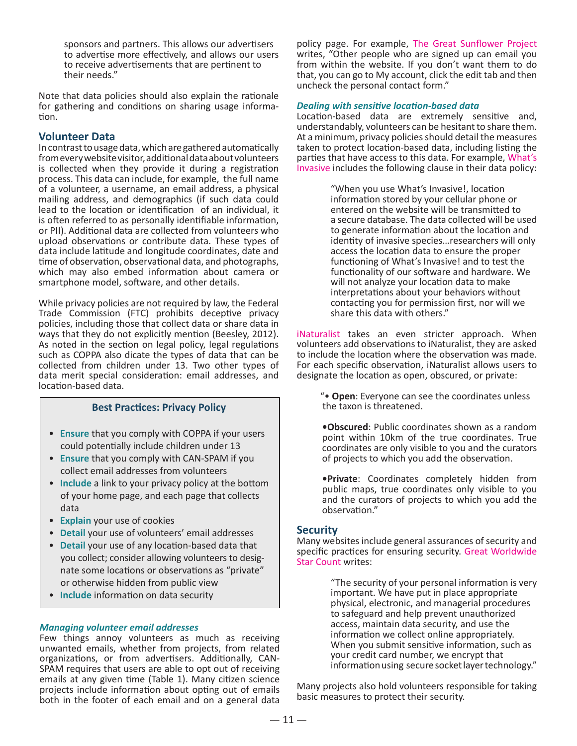sponsors and partners. This allows our advertisers to advertise more effectively, and allows our users to receive advertisements that are pertinent to their needs."

Note that data policies should also explain the rationale for gathering and conditions on sharing usage information.

### **Volunteer Data**

In contrast to usage data, which are gathered automatically from every website visitor, additional data about volunteers is collected when they provide it during a registration process. This data can include, for example, the full name of a volunteer, a username, an email address, a physical mailing address, and demographics (if such data could lead to the location or identification of an individual, it is often referred to as personally identifiable information, or PII). Additional data are collected from volunteers who upload observations or contribute data. These types of data include latitude and longitude coordinates, date and time of observation, observational data, and photographs, which may also embed information about camera or smartphone model, software, and other details.

While privacy policies are not required by law, the Federal Trade Commission (FTC) prohibits deceptive privacy policies, including those that collect data or share data in ways that they do not explicitly mention (Beesley, 2012). As noted in the section on legal policy, legal regulations such as COPPA also dicate the types of data that can be collected from children under 13. Two other types of data merit special consideration: email addresses, and location-based data.

### **Best Practices: Privacy Policy**

- **Ensure** that you comply with COPPA if your users could potentially include children under 13
- **Ensure** that you comply with CAN-SPAM if you collect email addresses from volunteers
- **Include** a link to your privacy policy at the bottom of your home page, and each page that collects data
- **Explain** your use of cookies
- **Detail** your use of volunteers' email addresses
- **Detail** your use of any location-based data that you collect; consider allowing volunteers to desig nate some locations or observations as "private" or otherwise hidden from public view
- **Include** information on data security

### *Managing volunteer email addresses*

Few things annoy volunteers as much as receiving unwanted emails, whether from projects, from related organizations, or from advertisers. Additionally, CAN-SPAM requires that users are able to opt out of receiving emails at any given time (Table 1). Many citizen science projects include information about opting out of emails both in the footer of each email and on a general data

policy page. For example, [The Great Sunflower Project](http://www.greatsunflower.org/) writes, "Other people who are signed up can email you from within the website. If you don't want them to do that, you can go to My account, click the edit tab and then uncheck the personal contact form."

### *Dealing with sensitive location-based data*

Location-based data are extremely sensitive and, understandably, volunteers can be hesitant to share them. At a minimum, privacy policies should detail the measures taken to protect location-based data, including listing the parties that have access to this data. For example, [What's](http://www.whatsinvasive.org/consent.html)  [Invasive](http://www.whatsinvasive.org/consent.html) includes the following clause in their data policy:

> "When you use What's Invasive!, location information stored by your cellular phone or entered on the website will be transmitted to a secure database. The data collected will be used to generate information about the location and identity of invasive species…researchers will only access the location data to ensure the proper functioning of What's Invasive! and to test the functionality of our software and hardware. We will not analyze your location data to make interpretations about your behaviors without contacting you for permission first, nor will we share this data with others."

[iNaturalist](http://www.inaturalist.org/pages/help) takes an even stricter approach. When volunteers add observations to iNaturalist, they are asked to include the location where the observation was made. For each specific observation, iNaturalist allows users to designate the location as open, obscured, or private:

> "• **Open**: Everyone can see the coordinates unless the taxon is threatened.

**•Obscured**: Public coordinates shown as a random point within 10km of the true coordinates. True coordinates are only visible to you and the curators of projects to which you add the observation.

**•Private**: Coordinates completely hidden from public maps, true coordinates only visible to you and the curators of projects to which you add the observation."

### **Security**

Many websites include general assurances of security and specific practices for ensuring security. [Great Worldwide](http://www.windows2universe.org/privacy_policy.html)  [Star Count](http://www.windows2universe.org/privacy_policy.html) writes:

> "The security of your personal information is very important. We have put in place appropriate physical, electronic, and managerial procedures to safeguard and help prevent unauthorized access, maintain data security, and use the information we collect online appropriately. When you submit sensitive information, such as your credit card number, we encrypt that information using secure socket layer technology."

Many projects also hold volunteers responsible for taking basic measures to protect their security.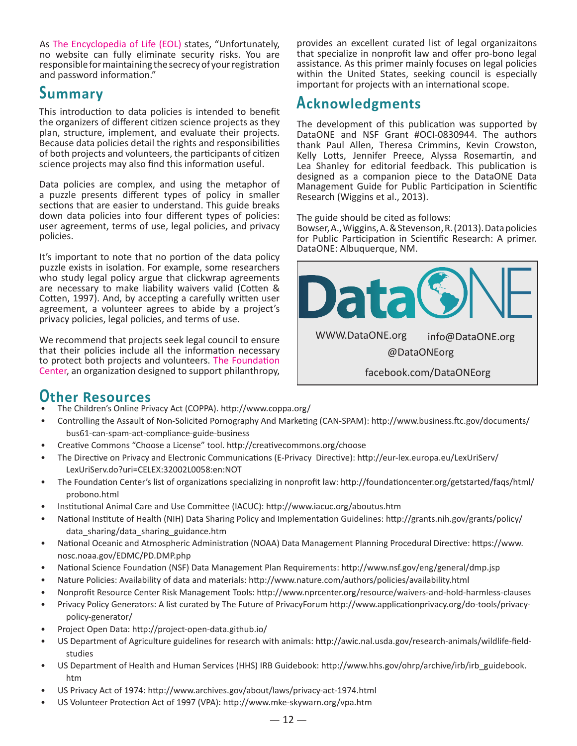As [The Encyclopedia of Life \(EOL](http://eol.org/info/226)) states, "Unfortunately, no website can fully eliminate security risks. You are responsible for maintaining the secrecy of your registration and password information."

# **Summary**

**Acknowledgments**<br>This introduction to data policies is intended to benefit **Acknowledgments** the organizers of different citizen science projects as they plan, structure, implement, and evaluate their projects. Because data policies detail the rights and responsibilities of both projects and volunteers, the participants of citizen science projects may also find this information useful.

Data policies are complex, and using the metaphor of a puzzle presents different types of policy in smaller sections that are easier to understand. This guide breaks down data policies into four different types of policies: user agreement, terms of use, legal policies, and privacy policies.

It's important to note that no portion of the data policy puzzle exists in isolation. For example, some researchers who study legal policy argue that clickwrap agreements are necessary to make liability waivers valid (Cotten & Cotten, 1997). And, by accepting a carefully written user agreement, a volunteer agrees to abide by a project's privacy policies, legal policies, and terms of use.

We recommend that projects seek legal council to ensure that their policies include all the information necessary to protect both projects and volunteers. [The Foundation](http://foundationcenter.org/getstarted/faqs/html/probono.html)  [Center,](http://foundationcenter.org/getstarted/faqs/html/probono.html) an organization designed to support philanthropy,

provides an excellent curated list of legal organizaitons that specialize in nonprofit law and offer pro-bono legal assistance. As this primer mainly focuses on legal policies within the United States, seeking council is especially important for projects with an international scope.

The development of this publication was supported by DataONE and NSF Grant #OCI-0830944. The authors thank Paul Allen, Theresa Crimmins, Kevin Crowston, Kelly Lotts, Jennifer Preece, Alyssa Rosemartin, and Lea Shanley for editorial feedback. This publication is designed as a companion piece to the DataONE Data Management Guide for Public Participation in Scientific Research (Wiggins et al., 2013).

The guide should be cited as follows:

Bowser, A., Wiggins, A. & Stevenson, R. (2013). Data policies for Public Participation in Scientific Research: A primer. DataONE: Albuquerque, NM.



# **Other Resources**

- The Children's Online Privacy Act (COPPA). [http://www.coppa.org/](http://www.coppa.org)
- Controlling the Assault of Non-Solicited Pornography And Marketing (CAN-SPAM): [http://www.business.ftc.gov/documents/](http://www.business.ftc.gov/documents/bus61) [bus61-](http://www.business.ftc.gov/documents/bus61)can-spam-act-compliance-guide-business
- Creative Commons "Choose a License" tool. [http://creativecommons.org/](http://creativecommons.org)choose
- The Directive on Privacy and Electronic Communications (E-Privacy Directive):<http://eur-lex.europa.eu/LexUriServ>/ [LexUriServ.do?](LexUriServ.do)uri=CELEX:32002L0058:en:NOT
- The Foundation Center's list of organizations specializing in nonprofit law: <http://foundationcenter.org/getstarted/faqs/html>/ <probono.html>
- Institutional Animal Care and Use Committee (IACUC): [http://www.iacuc.](http://www.iacuc)org/<aboutus.htm>
- National Institute of Health (NIH) Data Sharing Policy and Implementation Guidelines: [http://grants.nih.gov/grants/policy/](http://grants.nih.gov/grants/policy/data_) [data\\_](http://grants.nih.gov/grants/policy/data_)sharing/[data\\_sharing\\_guidance.htm](data_sharing_guidance.htm)
- National Oceanic and Atmospheric Administration (NOAA) Data Management Planning Procedural Directive: [https://www.](https://www.nosc.noaa) [nosc.noaa](https://www.nosc.noaa).gov/EDMC[/PD.DMP.php](PD.DMP.php)
- National Science Foundation (NSF) Data Management Plan Requirements:<http://www.nsf.gov/eng/general/dmp.jsp>
- Nature Policies: Availability of data and materials:<http://www.nature.com/authors/policies/availability.html>
- Nonprofit Resource Center Risk Management Tools: <http://www.nprcenter.org/resource/waivers>-and-hold-harmless-clauses
- Privacy Policy Generators: A list curated by The Future of PrivacyForum<http://www.applicationprivacy.org/do-tools/privacy>policy-generator/
- Project Open Data: [http://project-open-data.github.io/](http://project-open-data.github.io)
- US Department of Agriculture guidelines for research with animals:<http://awic.nal.usda.gov/research-animals/wildlife>-fieldstudies
- US Department of Health and Human Services (HHS) IRB Guidebook: [http://www.hhs.gov/ohrp/archive/irb/irb\\_guidebook.](http://www.hhs.gov/ohrp/archive/irb/irb_guidebook.htm) [htm](http://www.hhs.gov/ohrp/archive/irb/irb_guidebook.htm)
- US Privacy Act of 1974: [http://www.archives.gov/about/laws/privacy-](http://www.archives.gov/about/laws/privacy)<act-1974.html>
- US Volunteer Protection Act of 1997 (VPA): <http://www.mke-skywarn.org/vpa.htm>